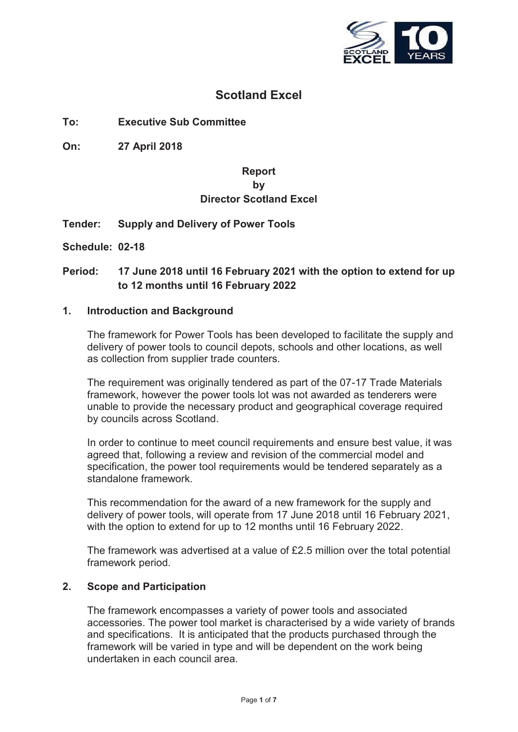

# **Scotland Excel**

# **To: Executive Sub Committee**

**On: 27 April 2018**

# **Report by Director Scotland Excel**

# **Tender: Supply and Delivery of Power Tools**

**Schedule: 02-18**

# **Period: 17 June 2018 until 16 February 2021 with the option to extend for up to 12 months until 16 February 2022**

#### **1. Introduction and Background**

The framework for Power Tools has been developed to facilitate the supply and delivery of power tools to council depots, schools and other locations, as well as collection from supplier trade counters.

The requirement was originally tendered as part of the 07-17 Trade Materials framework, however the power tools lot was not awarded as tenderers were unable to provide the necessary product and geographical coverage required by councils across Scotland.

In order to continue to meet council requirements and ensure best value, it was agreed that, following a review and revision of the commercial model and specification, the power tool requirements would be tendered separately as a standalone framework.

This recommendation for the award of a new framework for the supply and delivery of power tools, will operate from 17 June 2018 until 16 February 2021, with the option to extend for up to 12 months until 16 February 2022.

The framework was advertised at a value of £2.5 million over the total potential framework period.

#### **2. Scope and Participation**

The framework encompasses a variety of power tools and associated accessories. The power tool market is characterised by a wide variety of brands and specifications. It is anticipated that the products purchased through the framework will be varied in type and will be dependent on the work being undertaken in each council area.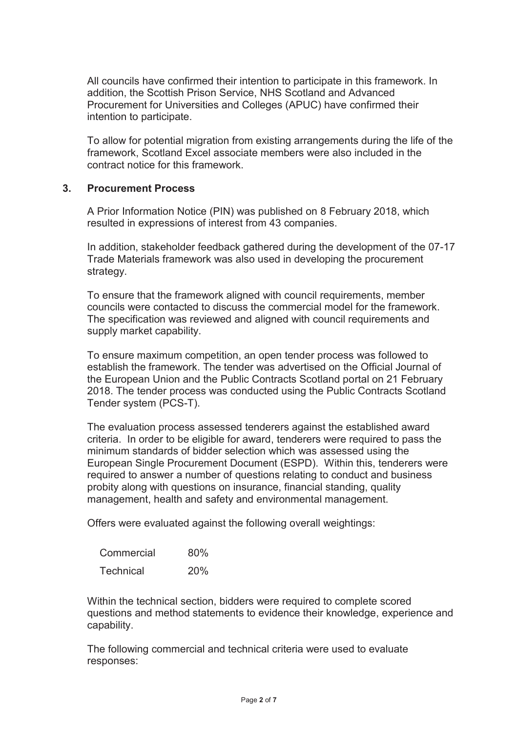All councils have confirmed their intention to participate in this framework. In addition, the Scottish Prison Service, NHS Scotland and Advanced Procurement for Universities and Colleges (APUC) have confirmed their intention to participate.

To allow for potential migration from existing arrangements during the life of the framework, Scotland Excel associate members were also included in the contract notice for this framework.

#### **3. Procurement Process**

A Prior Information Notice (PIN) was published on 8 February 2018, which resulted in expressions of interest from 43 companies.

In addition, stakeholder feedback gathered during the development of the 07-17 Trade Materials framework was also used in developing the procurement strategy.

To ensure that the framework aligned with council requirements, member councils were contacted to discuss the commercial model for the framework. The specification was reviewed and aligned with council requirements and supply market capability.

To ensure maximum competition, an open tender process was followed to establish the framework. The tender was advertised on the Official Journal of the European Union and the Public Contracts Scotland portal on 21 February 2018. The tender process was conducted using the Public Contracts Scotland Tender system (PCS-T).

The evaluation process assessed tenderers against the established award criteria. In order to be eligible for award, tenderers were required to pass the minimum standards of bidder selection which was assessed using the European Single Procurement Document (ESPD). Within this, tenderers were required to answer a number of questions relating to conduct and business probity along with questions on insurance, financial standing, quality management, health and safety and environmental management.

Offers were evaluated against the following overall weightings:

| Commercial       | 80% |
|------------------|-----|
| <b>Technical</b> | 20% |

Within the technical section, bidders were required to complete scored questions and method statements to evidence their knowledge, experience and capability.

The following commercial and technical criteria were used to evaluate responses: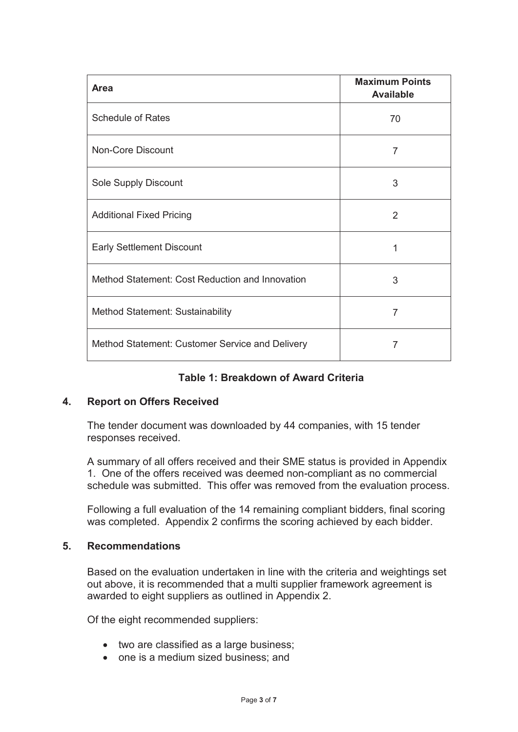| <b>Area</b>                                     | <b>Maximum Points</b><br><b>Available</b> |
|-------------------------------------------------|-------------------------------------------|
| <b>Schedule of Rates</b>                        | 70                                        |
| <b>Non-Core Discount</b>                        | 7                                         |
| Sole Supply Discount                            | 3                                         |
| <b>Additional Fixed Pricing</b>                 | 2                                         |
| <b>Early Settlement Discount</b>                | 1                                         |
| Method Statement: Cost Reduction and Innovation | 3                                         |
| Method Statement: Sustainability                | 7                                         |
| Method Statement: Customer Service and Delivery | 7                                         |

# **Table 1: Breakdown of Award Criteria**

# **4. Report on Offers Received**

The tender document was downloaded by 44 companies, with 15 tender responses received.

A summary of all offers received and their SME status is provided in Appendix 1. One of the offers received was deemed non-compliant as no commercial schedule was submitted. This offer was removed from the evaluation process.

Following a full evaluation of the 14 remaining compliant bidders, final scoring was completed. Appendix 2 confirms the scoring achieved by each bidder.

#### **5. Recommendations**

Based on the evaluation undertaken in line with the criteria and weightings set out above, it is recommended that a multi supplier framework agreement is awarded to eight suppliers as outlined in Appendix 2.

Of the eight recommended suppliers:

- two are classified as a large business;
- one is a medium sized business; and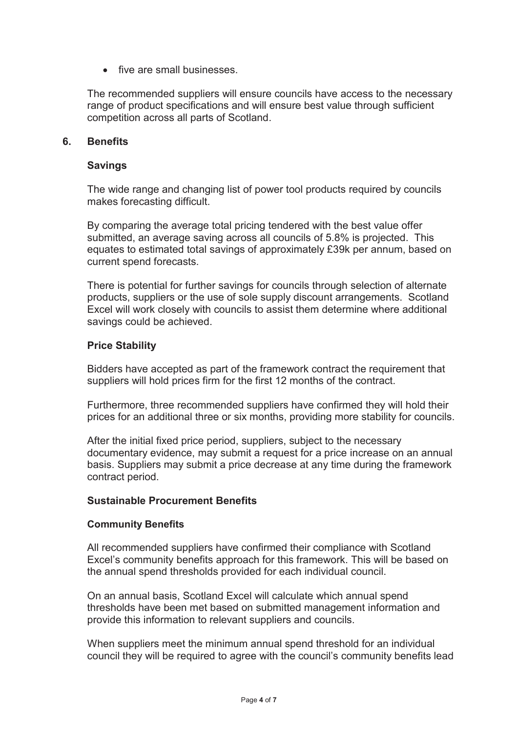• five are small businesses

The recommended suppliers will ensure councils have access to the necessary range of product specifications and will ensure best value through sufficient competition across all parts of Scotland.

#### **6. Benefits**

#### **Savings**

The wide range and changing list of power tool products required by councils makes forecasting difficult.

By comparing the average total pricing tendered with the best value offer submitted, an average saving across all councils of 5.8% is projected. This equates to estimated total savings of approximately £39k per annum, based on current spend forecasts.

There is potential for further savings for councils through selection of alternate products, suppliers or the use of sole supply discount arrangements. Scotland Excel will work closely with councils to assist them determine where additional savings could be achieved.

# **Price Stability**

Bidders have accepted as part of the framework contract the requirement that suppliers will hold prices firm for the first 12 months of the contract.

Furthermore, three recommended suppliers have confirmed they will hold their prices for an additional three or six months, providing more stability for councils.

After the initial fixed price period, suppliers, subject to the necessary documentary evidence, may submit a request for a price increase on an annual basis. Suppliers may submit a price decrease at any time during the framework contract period.

#### **Sustainable Procurement Benefits**

#### **Community Benefits**

All recommended suppliers have confirmed their compliance with Scotland Excel's community benefits approach for this framework. This will be based on the annual spend thresholds provided for each individual council.

On an annual basis, Scotland Excel will calculate which annual spend thresholds have been met based on submitted management information and provide this information to relevant suppliers and councils.

When suppliers meet the minimum annual spend threshold for an individual council they will be required to agree with the council's community benefits lead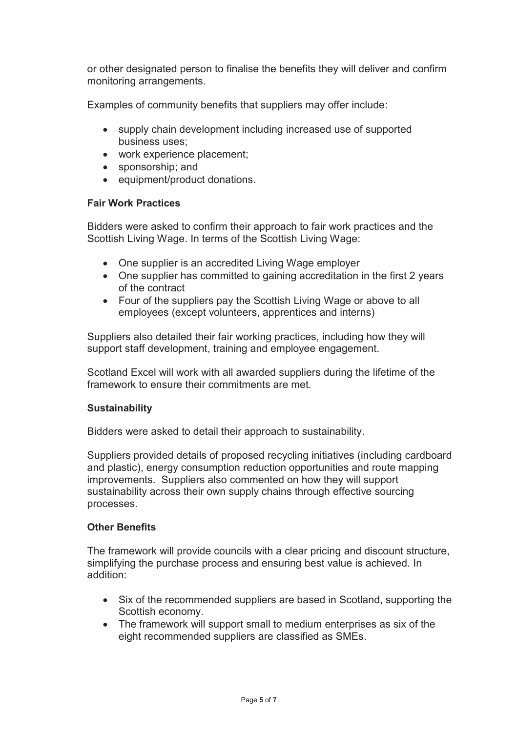or other designated person to finalise the benefits they will deliver and confirm monitoring arrangements.

Examples of community benefits that suppliers may offer include:

- supply chain development including increased use of supported business uses;
- work experience placement;
- sponsorship; and
- equipment/product donations.

# **Fair Work Practices**

Bidders were asked to confirm their approach to fair work practices and the Scottish Living Wage. In terms of the Scottish Living Wage:

- One supplier is an accredited Living Wage employer
- One supplier has committed to gaining accreditation in the first 2 years of the contract
- Four of the suppliers pay the Scottish Living Wage or above to all employees (except volunteers, apprentices and interns)

Suppliers also detailed their fair working practices, including how they will support staff development, training and employee engagement.

Scotland Excel will work with all awarded suppliers during the lifetime of the framework to ensure their commitments are met.

# **Sustainability**

Bidders were asked to detail their approach to sustainability.

Suppliers provided details of proposed recycling initiatives (including cardboard and plastic), energy consumption reduction opportunities and route mapping improvements. Suppliers also commented on how they will support sustainability across their own supply chains through effective sourcing processes.

# **Other Benefits**

The framework will provide councils with a clear pricing and discount structure, simplifying the purchase process and ensuring best value is achieved. In addition:

- Six of the recommended suppliers are based in Scotland, supporting the Scottish economy.
- The framework will support small to medium enterprises as six of the eight recommended suppliers are classified as SMEs.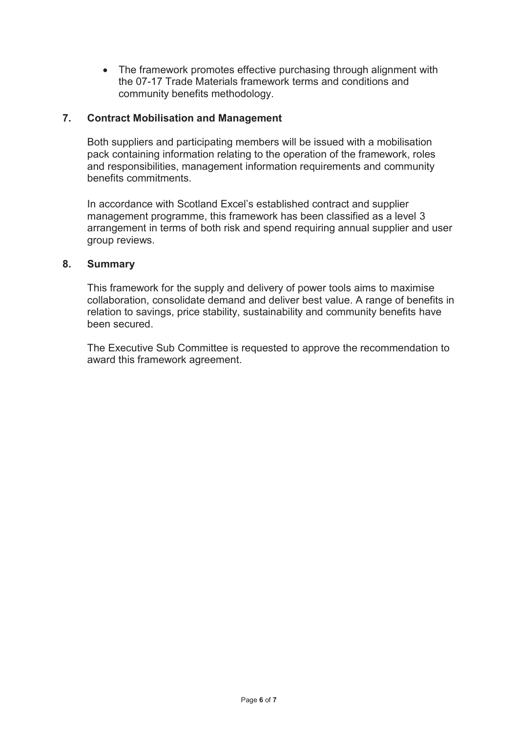• The framework promotes effective purchasing through alignment with the 07-17 Trade Materials framework terms and conditions and community benefits methodology.

# **7. Contract Mobilisation and Management**

Both suppliers and participating members will be issued with a mobilisation pack containing information relating to the operation of the framework, roles and responsibilities, management information requirements and community benefits commitments.

In accordance with Scotland Excel's established contract and supplier management programme, this framework has been classified as a level 3 arrangement in terms of both risk and spend requiring annual supplier and user group reviews.

#### **8. Summary**

This framework for the supply and delivery of power tools aims to maximise collaboration, consolidate demand and deliver best value. A range of benefits in relation to savings, price stability, sustainability and community benefits have been secured.

The Executive Sub Committee is requested to approve the recommendation to award this framework agreement.